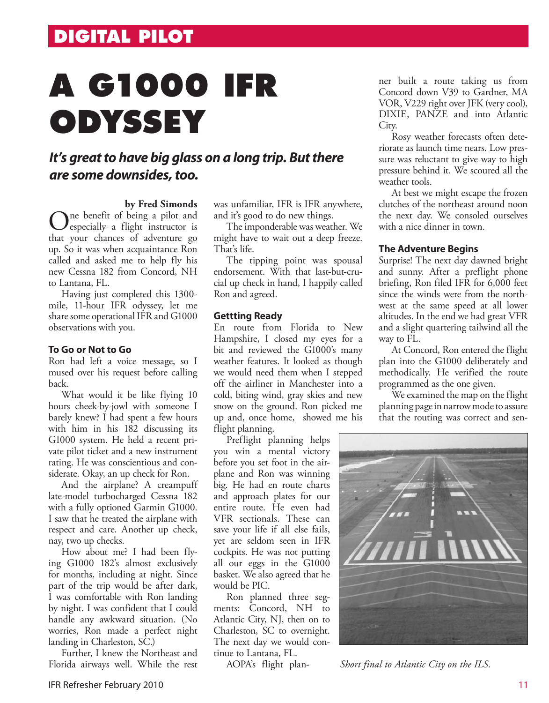## **A G1000 IFR ODYSSEY**

### *It's great to have big glass on a long trip. But there are some downsides, too.*

**by Fred Simonds**

One benefit of being a pilot and<br>
especially a flight instructor is<br>
that were absence of advantum on that your chances of adventure go up. So it was when acquaintance Ron called and asked me to help fly his new Cessna 182 from Concord, NH to Lantana, FL.

Having just completed this 1300 mile, 11-hour IFR odyssey, let me share some operational IFR and G1000 observations with you.

#### **To Go or Not to Go**

Ron had left a voice message, so I mused over his request before calling back.

What would it be like flying 10 hours cheek-by-jowl with someone I barely knew? I had spent a few hours with him in his 182 discussing its G1000 system. He held a recent private pilot ticket and a new instrument rating. He was conscientious and considerate. Okay, an up check for Ron.

And the airplane? A creampuff late-model turbocharged Cessna 182 with a fully optioned Garmin G1000. I saw that he treated the airplane with respect and care. Another up check, nay, two up checks.

How about me? I had been flying G1000 182's almost exclusively for months, including at night. Since part of the trip would be after dark, I was comfortable with Ron landing by night. I was confident that I could handle any awkward situation. (No worries, Ron made a perfect night landing in Charleston, SC.)

Further, I knew the Northeast and Florida airways well. While the rest was unfamiliar, IFR is IFR anywhere, and it's good to do new things.

The imponderable was weather. We might have to wait out a deep freeze. That's life.

The tipping point was spousal endorsement. With that last-but-crucial up check in hand, I happily called Ron and agreed.

#### **Gettting Ready**

En route from Florida to New Hampshire, I closed my eyes for a bit and reviewed the G1000's many weather features. It looked as though we would need them when I stepped off the airliner in Manchester into a cold, biting wind, gray skies and new snow on the ground. Ron picked me up and, once home, showed me his flight planning.

Preflight planning helps you win a mental victory before you set foot in the airplane and Ron was winning big. He had en route charts and approach plates for our entire route. He even had VFR sectionals. These can save your life if all else fails, yet are seldom seen in IFR cockpits. He was not putting all our eggs in the G1000 basket. We also agreed that he would be PIC.

Ron planned three segments: Concord, NH to Atlantic City, NJ, then on to Charleston, SC to overnight. The next day we would continue to Lantana, FL.

AOPA's flight plan-

ner built a route taking us from Concord down V39 to Gardner, MA VOR, V229 right over JFK (very cool), DIXIE, PANZE and into Atlantic City.

Rosy weather forecasts often deteriorate as launch time nears. Low pressure was reluctant to give way to high pressure behind it. We scoured all the weather tools.

At best we might escape the frozen clutches of the northeast around noon the next day. We consoled ourselves with a nice dinner in town.

#### **The Adventure Begins**

Surprise! The next day dawned bright and sunny. After a preflight phone briefing, Ron filed IFR for 6,000 feet since the winds were from the northwest at the same speed at all lower altitudes. In the end we had great VFR and a slight quartering tailwind all the way to FL.

At Concord, Ron entered the flight plan into the G1000 deliberately and methodically. He verified the route programmed as the one given.

We examined the map on the flight planning page in narrow mode to assure that the routing was correct and sen-



*Short final to Atlantic City on the ILS.*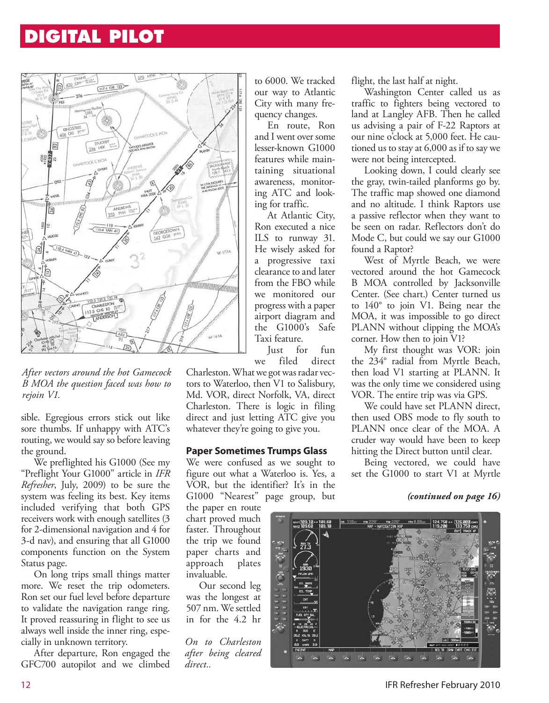## **DIGITAL PILOT**



*After vectors around the hot Gamecock B MOA the question faced was how to rejoin V1.*

sible. Egregious errors stick out like sore thumbs. If unhappy with ATC's routing, we would say so before leaving the ground.

We preflighted his G1000 (See my "Preflight Your G1000" article in *IFR Refresher*, July, 2009) to be sure the system was feeling its best. Key items included verifying that both GPS receivers work with enough satellites (3 for 2-dimensional navigation and 4 for 3-d nav), and ensuring that all G1000 components function on the System Status page.

On long trips small things matter more. We reset the trip odometers. Ron set our fuel level before departure to validate the navigation range ring. It proved reassuring in flight to see us always well inside the inner ring, especially in unknown territory.

After departure, Ron engaged the GFC700 autopilot and we climbed

to 6000. We tracked our way to Atlantic City with many frequency changes.

En route, Ron and I went over some lesser-known G1000 features while maintaining situational awareness, monitoring ATC and looking for traffic.

At Atlantic City, Ron executed a nice ILS to runway 31. He wisely asked for a progressive taxi clearance to and later from the FBO while we monitored our progress with a paper airport diagram and the G1000's Safe Taxi feature.

Just for fun we filed direct

Charleston. What we got was radar vectors to Waterloo, then V1 to Salisbury, Md. VOR, direct Norfolk, VA, direct Charleston. There is logic in filing direct and just letting ATC give you whatever they're going to give you.

#### **Paper Sometimes Trumps Glass**

We were confused as we sought to figure out what a Waterloo is. Yes, a VOR, but the identifier? It's in the G1000 "Nearest" page group, but

the paper en route chart proved much faster. Throughout the trip we found paper charts and approach plates invaluable.

Our second leg was the longest at 507 nm. We settled in for the 4.2 hr

*On to Charleston after being cleared direct..*

flight, the last half at night.

Washington Center called us as traffic to fighters being vectored to land at Langley AFB. Then he called us advising a pair of F-22 Raptors at our nine o'clock at 5,000 feet. He cautioned us to stay at 6,000 as if to say we were not being intercepted.

Looking down, I could clearly see the gray, twin-tailed planforms go by. The traffic map showed one diamond and no altitude. I think Raptors use a passive reflector when they want to be seen on radar. Reflectors don't do Mode C, but could we say our G1000 found a Raptor?

West of Myrtle Beach, we were vectored around the hot Gamecock B MOA controlled by Jacksonville Center. (See chart.) Center turned us to 140° to join V1. Being near the MOA, it was impossible to go direct PLANN without clipping the MOA's corner. How then to join V1?

My first thought was VOR: join the 234° radial from Myrtle Beach, then load V1 starting at PLANN. It was the only time we considered using VOR. The entire trip was via GPS.

We could have set PLANN direct, then used OBS mode to fly south to PLANN once clear of the MOA. A cruder way would have been to keep hitting the Direct button until clear.

Being vectored, we could have set the G1000 to start V1 at Myrtle

#### *(continued on page 16)*



12 IFR Refresher February 2010